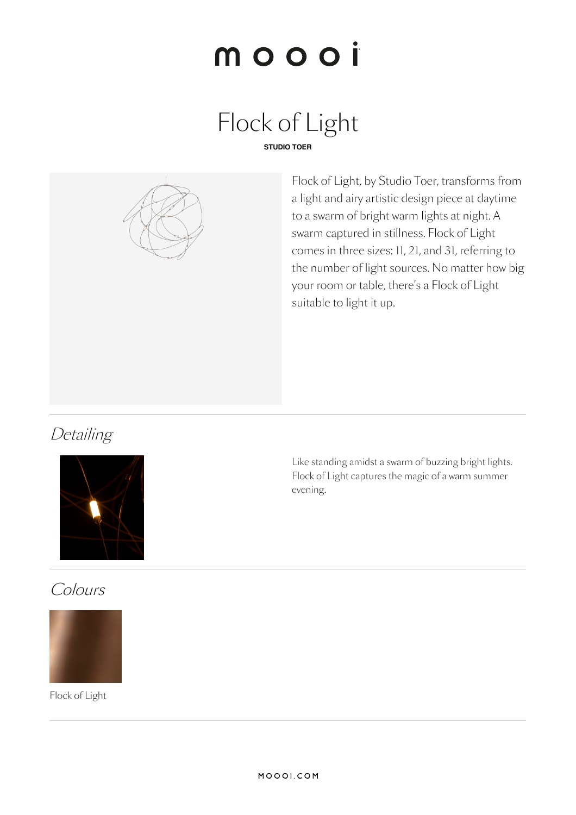# moooi

# Flock of Light





Flock of Light, by Studio Toer, transforms from a light and airy artistic design piece at daytime to a swarm of bright warm lights at night. A swarm captured in stillness. Flock of Light comes in three sizes: 11, 21, and 31, referring to the number of light sources. No matter how big your room or table, there's a Flock of Light suitable to light it up.

## **Detailing**



Like standing amidst a swarm of buzzing bright lights. Flock of Light captures the magic of a warm summer evening.

## Colours



Flock of Light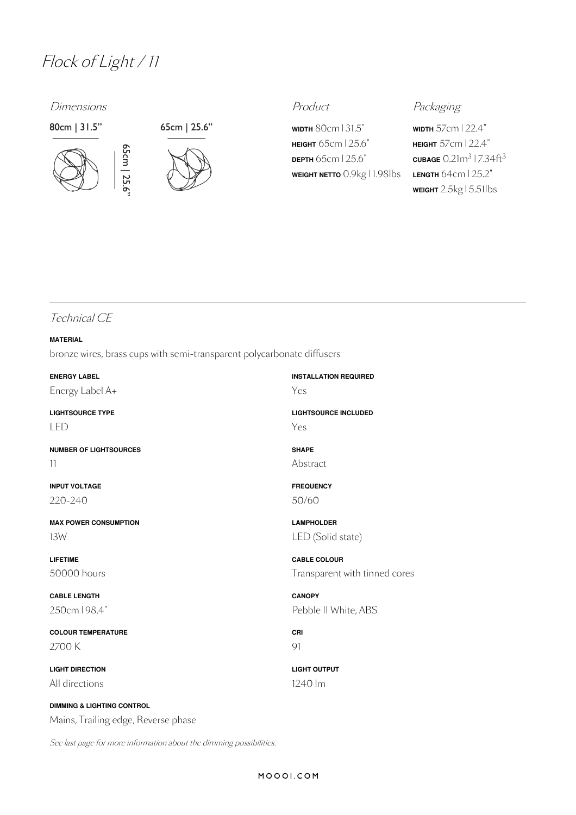## Flock of Light / <sup>11</sup>

65cm | 25.6

### Dimensions **Product** Product **Product** Packaging







**WIDTH** 80cm | 31.5" **HEIGHT** 65cm |25.6" **DEPTH** 65cm |25.6" **WEIGHT NETTO** 0.9kg | 1.98lbs

**WIDTH** 57cm | 22.4" **HEIGHT** 57cm | 22.4"  $\frac{\text{CUBAGE}}{0.21}$ m $\frac{3}{7.34}$ ft $\frac{3}{3}$ **LENGTH** 64cm | 25.2" **WEIGHT** 2.5kg | 5.51lbs

### Technical CE

### **MATERIAL**

bronze wires, brass cups with semi-transparent polycarbonate diffusers

| <b>ENERGY LABEL</b>           | <b>INSTALLATION REQUIRED</b> |
|-------------------------------|------------------------------|
| Energy Label A+               | Yes                          |
| <b>LIGHTSOURCE TYPE</b>       | <b>LIGHTSOURCE INCLUDED</b>  |
| LED                           | Yes                          |
| <b>NUMBER OF LIGHTSOURCES</b> | <b>SHAPE</b>                 |
| 11                            | Abstract                     |
| <b>INPUT VOLTAGE</b>          | <b>FREQUENCY</b>             |
| 220-240                       | 50/60                        |
| <b>MAX POWER CONSUMPTION</b>  | <b>LAMPHOLDER</b>            |
| 13W                           | LED (Solid state)            |
| <b>LIFETIME</b>               | <b>CABLE COLOUR</b>          |
| 50000 hours                   | Transparent with tinn        |
| <b>CABLE LENGTH</b>           | <b>CANOPY</b>                |
| 250cm   98.4"                 | Pebble II White, ABS         |
| <b>COLOUR TEMPERATURE</b>     | CRI                          |
| 2700 K                        | 91                           |
| <b>LIGHT DIRECTION</b>        | <b>LIGHT OUTPUT</b>          |
| All directions                | 1240 lm                      |

**DIMMING & LIGHTING CONTROL** Mains, Trailing edge, Reverse phase

See last page for more information about the dimming possibilities.

ed cores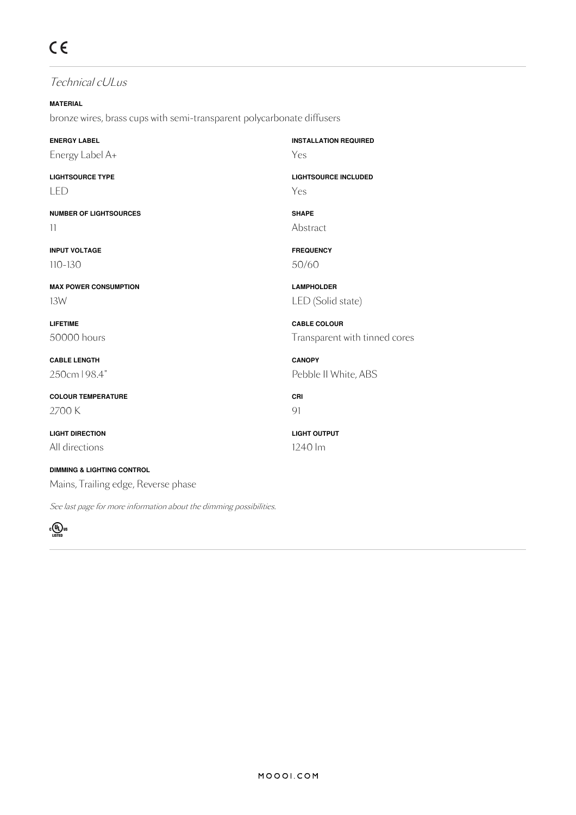### Technical cULus

**MATERIAL** bronze wires, brass cups with semi-transparent polycarbonate diffusers

**ENERGY LABEL** Energy Label A+

**LIGHTSOURCE TYPE** LED

**NUMBER OF LIGHTSOURCES** 11

**INPUT VOLTAGE** 110-130

**MAX POWER CONSUMPTION** 13W

**LIFETIME** 50000 hours

**CABLE LENGTH** 250cm | 98.4"

**COLOUR TEMPERATURE** 2700 K

**LIGHT DIRECTION** All directions

**DIMMING & LIGHTING CONTROL** Mains, Trailing edge, Reverse phase

See last page for more information about the dimming possibilities.



**INSTALLATION REQUIRED** Yes

**LIGHTSOURCE INCLUDED** Yes

**SHAPE** Abstract

**FREQUENCY** 50/60

**LAMPHOLDER** LED (Solid state)

**CABLE COLOUR** Transparent with tinned cores

**CANOPY** Pebble II White, ABS

**CRI** 91

**LIGHT OUTPUT** 1240 lm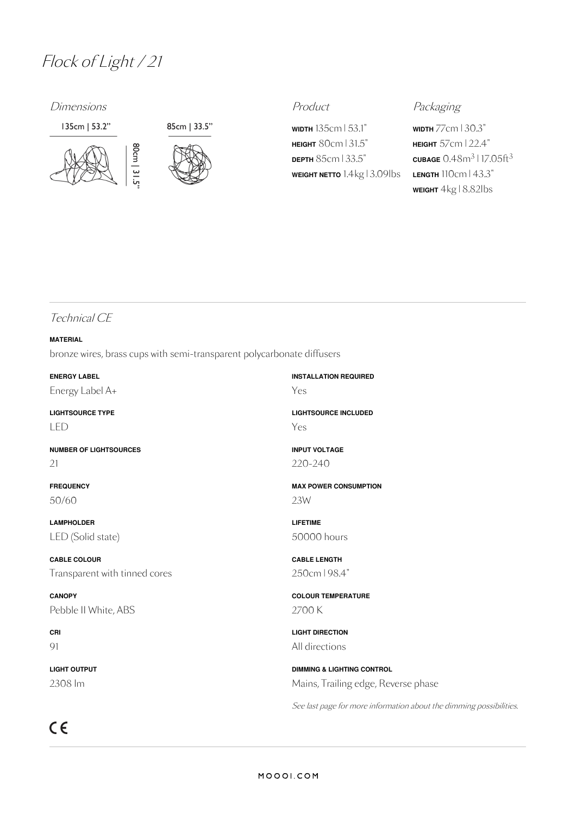## Flock of Light / <sup>21</sup>

Dimensions **Product** Product **Product** Packaging





**WIDTH** 135cm | 53.1" **HEIGHT** 80cm | 31.5" **DEPTH** 85cm | 33.5" **WEIGHT NETTO** 1.4kg | 3.09lbs

**WIDTH** 77cm |30.3" **HEIGHT** 57cm | 22.4"  $\frac{\text{CUBAGE}}{0.48}$ m $\frac{3}{17.05}$ ft $\frac{3}{3}$ **LENGTH** 110cm | 43.3" **WEIGHT** 4kg | 8.82lbs

### Technical CE

### **MATERIAL**

bronze wires, brass cups with semi-transparent polycarbonate diffusers

**ENERGY LABEL** Energy Label A+ **INSTALLATION REQUIRED** Yes **LIGHTSOURCE TYPE** LED **LIGHTSOURCE INCLUDED** Yes **NUMBER OF LIGHTSOURCES** 21 **INPUT VOLTAGE** 220-240 **FREQUENCY** 50/60 **MAX POWER CONSUMPTION** 23W **LAMPHOLDER** LED (Solid state) **LIFETIME** 50000 hours **CABLE COLOUR** Transparent with tinned cores **CABLE LENGTH** 250cm | 98.4" **CANOPY** Pebble II White, ABS **COLOUR TEMPERATURE** 2700 K **CRI** 91 **LIGHT DIRECTION** All directions

> **DIMMING & LIGHTING CONTROL** Mains, Trailing edge, Reverse phase

See last page for more information about the dimming possibilities.

 $C \in$ 

**LIGHT OUTPUT** 2308 lm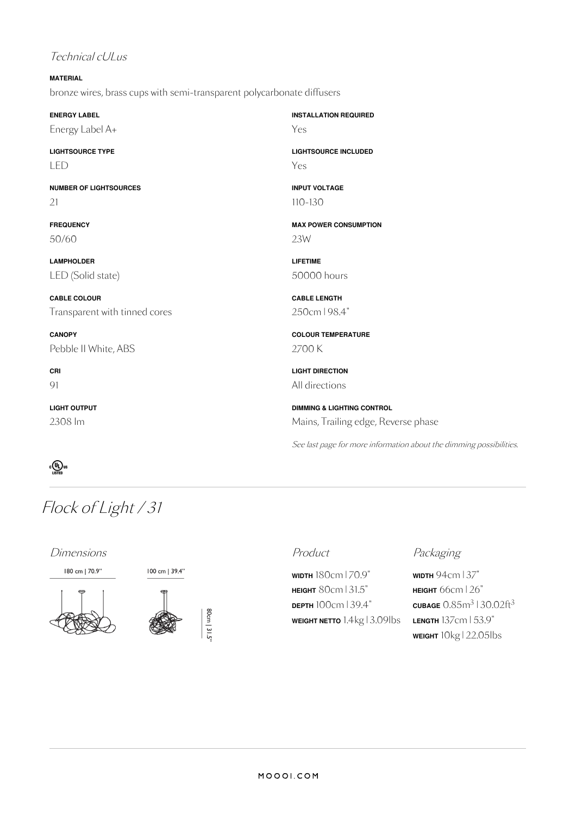### Technical cULus

### **MATERIAL** bronze wires, brass cups with semi-transparent polycarbonate diffusers

| <b>ENERGY LABEL</b>           | <b>INSTALLATION REQUIRED</b>          |
|-------------------------------|---------------------------------------|
| Energy Label A+               | Yes                                   |
| <b>LIGHTSOURCE TYPE</b>       | <b>LIGHTSOURCE INCLUDED</b>           |
| LED                           | Yes                                   |
| <b>NUMBER OF LIGHTSOURCES</b> | <b>INPUT VOLTAGE</b>                  |
| 21                            | $110 - 130$                           |
| <b>FREQUENCY</b>              | <b>MAX POWER CONSUMPTION</b>          |
| 50/60                         | 23W                                   |
| <b>LAMPHOLDER</b>             | <b>LIFETIME</b>                       |
| LED (Solid state)             | 50000 hours                           |
| <b>CABLE COLOUR</b>           | <b>CABLE LENGTH</b>                   |
| Transparent with tinned cores | 250cm   98.4"                         |
| <b>CANOPY</b>                 | <b>COLOUR TEMPERATURE</b>             |
| Pebble II White, ABS          | 2700 K                                |
| CRI                           | <b>LIGHT DIRECTION</b>                |
| 91                            | All directions                        |
| <b>LIGHT OUTPUT</b>           | <b>DIMMING &amp; LIGHTING CONTROL</b> |
| 2308 lm                       | Mains, Trailing edge, Rev             |



## Flock of Light / 31

Dimensions **Product** Product **Product** Packaging

180 cm | 70.9"





80cm | 31.5

100 cm | 39.4"

**WIDTH** 180cm | 70.9" **HEIGHT** 80cm | 31.5" **DEPTH** 100cm |39.4" **WEIGHT NETTO** 1.4kg | 3.09lbs

**WIDTH** 94cm |37" **HEIGHT** 66cm |26"  $\tt{c}$ UBAGE  $0.85$ m $^3$  |  $30.02$ ft $^3$ **LENGTH** 137cm | 53.9" **WEIGHT** 10kg | 22.05lbs

**DIMMING & LIGHTING CONTROL** Mains, Trailing edge, Reverse phase

See last page for more information about the dimming possibilities.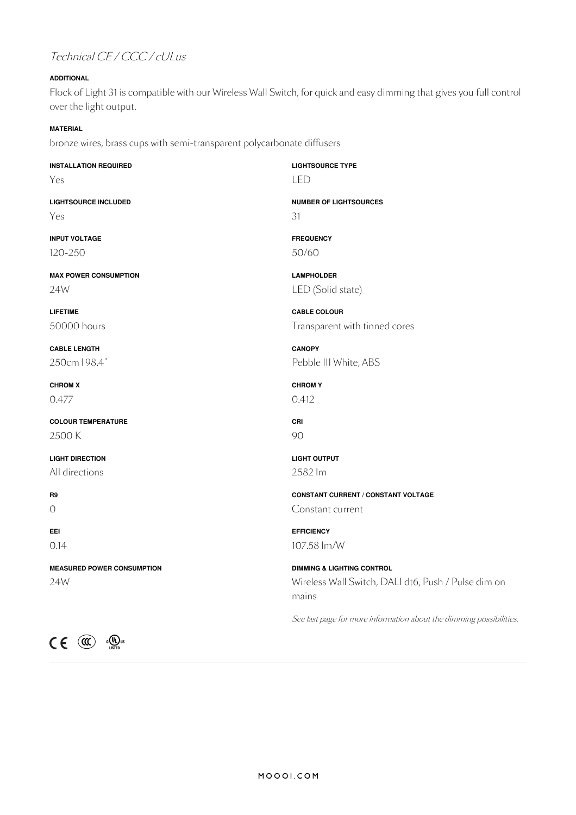## Technical CE / CCC / cULus

### **ADDITIONAL**

Flock of Light 31 is compatible with our Wireless Wall Switch, for quick and easy dimming that gives you full control over the light output.

### **MATERIAL**

bronze wires, brass cups with semi-transparent polycarbonate diffusers

| <b>INSTALLATION REQUIRED</b>                           | <b>LIGHTSOURCE TYPE</b>                                             |
|--------------------------------------------------------|---------------------------------------------------------------------|
| Yes                                                    | <b>LED</b>                                                          |
| <b>LIGHTSOURCE INCLUDED</b>                            | <b>NUMBER OF LIGHTSOURCES</b>                                       |
| Yes                                                    | 31                                                                  |
| <b>INPUT VOLTAGE</b>                                   | <b>FREQUENCY</b>                                                    |
| 120-250                                                | 50/60                                                               |
| <b>MAX POWER CONSUMPTION</b>                           | <b>LAMPHOLDER</b>                                                   |
| 24W                                                    | LED (Solid state)                                                   |
| <b>LIFETIME</b>                                        | <b>CABLE COLOUR</b>                                                 |
| 50000 hours                                            | Transparent with tinned cores                                       |
| <b>CABLE LENGTH</b>                                    | <b>CANOPY</b>                                                       |
| 250cm   98.4"                                          | Pebble III White, ABS                                               |
| <b>CHROM X</b>                                         | <b>CHROMY</b>                                                       |
| 0.477                                                  | 0.412                                                               |
| <b>COLOUR TEMPERATURE</b>                              | CRI                                                                 |
| 2500 K                                                 | 90                                                                  |
| <b>LIGHT DIRECTION</b>                                 | <b>LIGHT OUTPUT</b>                                                 |
| All directions                                         | 2582 lm                                                             |
| R9                                                     | <b>CONSTANT CURRENT / CONSTANT VOLTAGE</b>                          |
| 0                                                      | Constant current                                                    |
| EEI                                                    | <b>EFFICIENCY</b>                                                   |
| 0.14                                                   | 107.58 lm/W                                                         |
| <b>MEASURED POWER CONSUMPTION</b>                      | <b>DIMMING &amp; LIGHTING CONTROL</b>                               |
| 24W                                                    | Wireless Wall Switch, DALI dt6, Push / Pulse dim on<br>mains        |
|                                                        | See last page for more information about the dimming possibilities. |
| $\epsilon$<br>$\mathbf{C}$<br>$\frac{1}{\sqrt{10}}$ us |                                                                     |